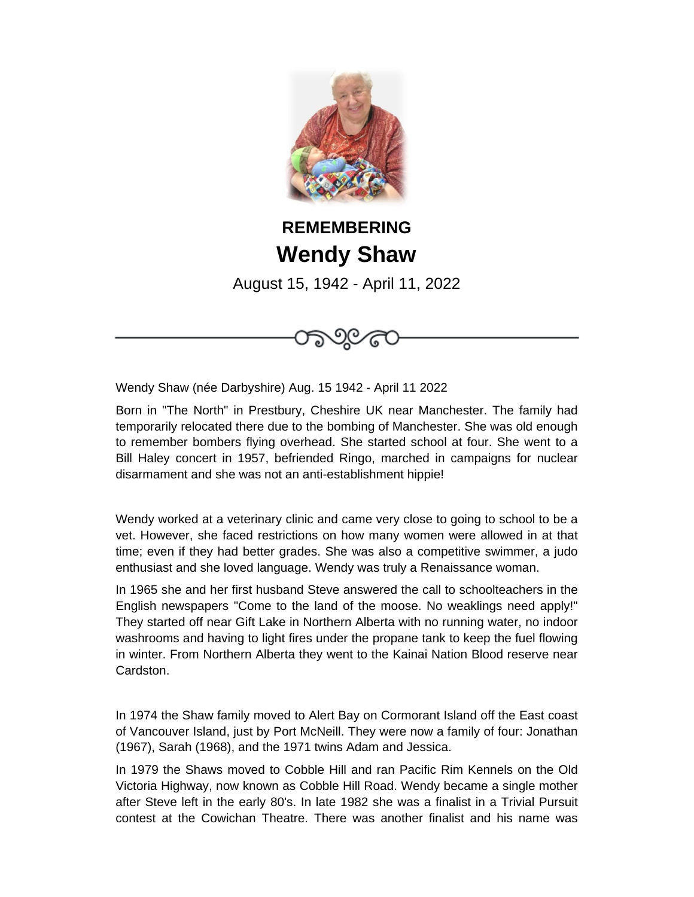

## **REMEMBERING Wendy Shaw**

August 15, 1942 - April 11, 2022



Wendy Shaw (née Darbyshire) Aug. 15 1942 - April 11 2022

Born in "The North" in Prestbury, Cheshire UK near Manchester. The family had temporarily relocated there due to the bombing of Manchester. She was old enough to remember bombers flying overhead. She started school at four. She went to a Bill Haley concert in 1957, befriended Ringo, marched in campaigns for nuclear disarmament and she was not an anti-establishment hippie!

Wendy worked at a veterinary clinic and came very close to going to school to be a vet. However, she faced restrictions on how many women were allowed in at that time; even if they had better grades. She was also a competitive swimmer, a judo enthusiast and she loved language. Wendy was truly a Renaissance woman.

In 1965 she and her first husband Steve answered the call to schoolteachers in the English newspapers "Come to the land of the moose. No weaklings need apply!" They started off near Gift Lake in Northern Alberta with no running water, no indoor washrooms and having to light fires under the propane tank to keep the fuel flowing in winter. From Northern Alberta they went to the Kainai Nation Blood reserve near Cardston.

In 1974 the Shaw family moved to Alert Bay on Cormorant Island off the East coast of Vancouver Island, just by Port McNeill. They were now a family of four: Jonathan (1967), Sarah (1968), and the 1971 twins Adam and Jessica.

In 1979 the Shaws moved to Cobble Hill and ran Pacific Rim Kennels on the Old Victoria Highway, now known as Cobble Hill Road. Wendy became a single mother after Steve left in the early 80's. In late 1982 she was a finalist in a Trivial Pursuit contest at the Cowichan Theatre. There was another finalist and his name was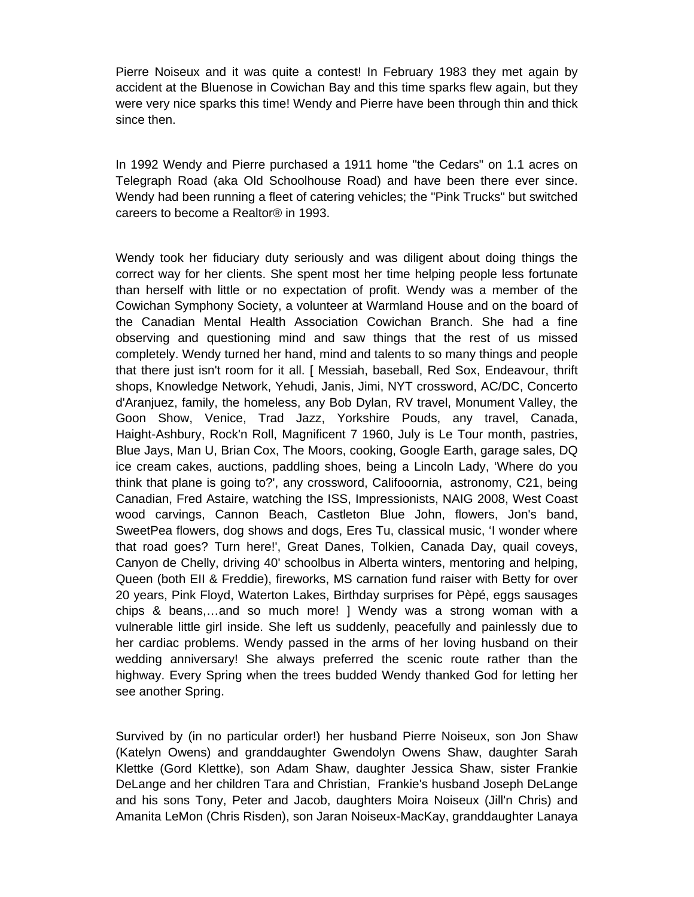Pierre Noiseux and it was quite a contest! In February 1983 they met again by accident at the Bluenose in Cowichan Bay and this time sparks flew again, but they were very nice sparks this time! Wendy and Pierre have been through thin and thick since then.

In 1992 Wendy and Pierre purchased a 1911 home "the Cedars" on 1.1 acres on Telegraph Road (aka Old Schoolhouse Road) and have been there ever since. Wendy had been running a fleet of catering vehicles; the "Pink Trucks" but switched careers to become a Realtor® in 1993.

Wendy took her fiduciary duty seriously and was diligent about doing things the correct way for her clients. She spent most her time helping people less fortunate than herself with little or no expectation of profit. Wendy was a member of the Cowichan Symphony Society, a volunteer at Warmland House and on the board of the Canadian Mental Health Association Cowichan Branch. She had a fine observing and questioning mind and saw things that the rest of us missed completely. Wendy turned her hand, mind and talents to so many things and people that there just isn't room for it all. [ Messiah, baseball, Red Sox, Endeavour, thrift shops, Knowledge Network, Yehudi, Janis, Jimi, NYT crossword, AC/DC, Concerto d'Aranjuez, family, the homeless, any Bob Dylan, RV travel, Monument Valley, the Goon Show, Venice, Trad Jazz, Yorkshire Pouds, any travel, Canada, Haight-Ashbury, Rock'n Roll, Magnificent 7 1960, July is Le Tour month, pastries, Blue Jays, Man U, Brian Cox, The Moors, cooking, Google Earth, garage sales, DQ ice cream cakes, auctions, paddling shoes, being a Lincoln Lady, 'Where do you think that plane is going to?', any crossword, Califooornia, astronomy, C21, being Canadian, Fred Astaire, watching the ISS, Impressionists, NAIG 2008, West Coast wood carvings, Cannon Beach, Castleton Blue John, flowers, Jon's band, SweetPea flowers, dog shows and dogs, Eres Tu, classical music, 'I wonder where that road goes? Turn here!', Great Danes, Tolkien, Canada Day, quail coveys, Canyon de Chelly, driving 40' schoolbus in Alberta winters, mentoring and helping, Queen (both EII & Freddie), fireworks, MS carnation fund raiser with Betty for over 20 years, Pink Floyd, Waterton Lakes, Birthday surprises for Pèpé, eggs sausages chips & beans,…and so much more! ] Wendy was a strong woman with a vulnerable little girl inside. She left us suddenly, peacefully and painlessly due to her cardiac problems. Wendy passed in the arms of her loving husband on their wedding anniversary! She always preferred the scenic route rather than the highway. Every Spring when the trees budded Wendy thanked God for letting her see another Spring.

Survived by (in no particular order!) her husband Pierre Noiseux, son Jon Shaw (Katelyn Owens) and granddaughter Gwendolyn Owens Shaw, daughter Sarah Klettke (Gord Klettke), son Adam Shaw, daughter Jessica Shaw, sister Frankie DeLange and her children Tara and Christian, Frankie's husband Joseph DeLange and his sons Tony, Peter and Jacob, daughters Moira Noiseux (Jill'n Chris) and Amanita LeMon (Chris Risden), son Jaran Noiseux-MacKay, granddaughter Lanaya